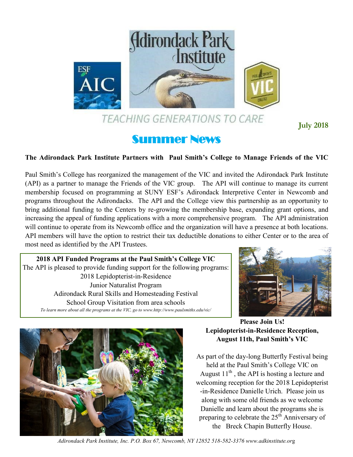

TEACHING GENERATIONS TO CARE

**July 2018**

# Summer News

## **The Adirondack Park Institute Partners with Paul Smith's College to Manage Friends of the VIC**

Paul Smith's College has reorganized the management of the VIC and invited the Adirondack Park Institute (API) as a partner to manage the Friends of the VIC group. The API will continue to manage its current membership focused on programming at SUNY ESF's Adirondack Interpretive Center in Newcomb and programs throughout the Adirondacks. The API and the College view this partnership as an opportunity to bring additional funding to the Centers by re-growing the membership base, expanding grant options, and increasing the appeal of funding applications with a more comprehensive program. The API administration will continue to operate from its Newcomb office and the organization will have a presence at both locations. API members will have the option to restrict their tax deductible donations to either Center or to the area of most need as identified by the API Trustees.

**2018 API Funded Programs at the Paul Smith's College VIC** The API is pleased to provide funding support for the following programs: 2018 Lepidopterist-in-Residence Junior Naturalist Program Adirondack Rural Skills and Homesteading Festival School Group Visitation from area schools *To learn more about all the programs at the VIC, go to www.http://www.paulsmiths.edu/vic/*





**Please Join Us! Lepidopterist-in-Residence Reception, August 11th, Paul Smith's VIC**

As part of the day-long Butterfly Festival being held at the Paul Smith's College VIC on August  $11<sup>th</sup>$ , the API is hosting a lecture and welcoming reception for the 2018 Lepidopterist -in-Residence Danielle Urich. Please join us along with some old friends as we welcome Danielle and learn about the programs she is preparing to celebrate the  $25<sup>th</sup>$  Anniversary of the Breck Chapin Butterfly House.

*Adirondack Park Institute, Inc. P.O. Box 67, Newcomb, NY 12852 518-582-3376 www.adkinstitute.or*g